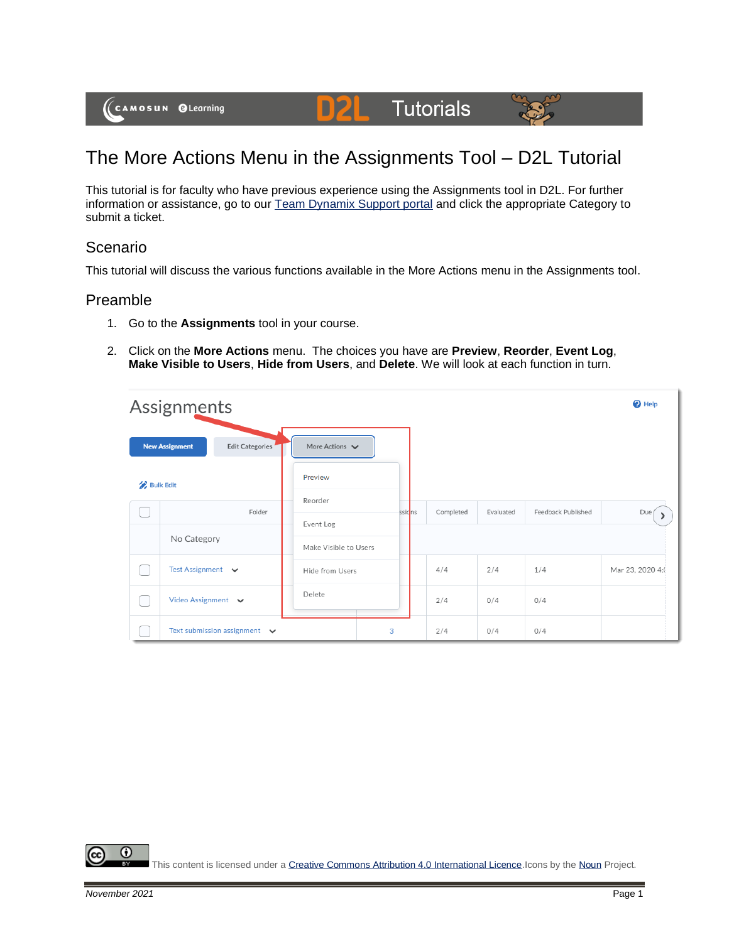



D

This tutorial is for faculty who have previous experience using the Assignments tool in D2L. For further information or assistance, go to our [Team Dynamix Support portal](https://camosun.teamdynamix.com/TDClient/67/Portal/Requests/ServiceCatalog?CategoryID=523) and click the appropriate Category to submit a ticket.

# Scenario

This tutorial will discuss the various functions available in the More Actions menu in the Assignments tool.

### Preamble

- 1. Go to the **Assignments** tool in your course.
- 2. Click on the **More Actions** menu. The choices you have are **Preview**, **Reorder**, **Event Log**, **Make Visible to Users**, **Hide from Users**, and **Delete**. We will look at each function in turn.

|                  | Assignments                              |                                    |         |           |           |                    | <sup>O</sup> Help |
|------------------|------------------------------------------|------------------------------------|---------|-----------|-----------|--------------------|-------------------|
|                  | <b>New Assignment</b><br>Edit Categories | More Actions $\blacktriangleright$ |         |           |           |                    |                   |
| <b>Bulk Edit</b> |                                          | Preview                            |         |           |           |                    |                   |
|                  | Folder                                   | Reorder                            | ssic ns | Completed | Evaluated | Feedback Published | Due/              |
|                  |                                          | Event Log                          |         |           |           |                    |                   |
|                  | No Category                              | Make Visible to Users              |         |           |           |                    |                   |
|                  | Test Assignment v                        | Hide from Users                    |         | 4/4       | 2/4       | 1/4                | Mar 23, 2020 4:   |
|                  | Video Assignment $\vee$                  | Delete                             |         | 2/4       | 0/4       | 0/4                |                   |
|                  | Text submission assignment $\vee$        |                                    | 3       | 2/4       | 0/4       | 0/4                |                   |

⋒ This content is licensed under [a Creative Commons Attribution 4.0 International Licence.I](https://creativecommons.org/licenses/by/4.0/)cons by th[e Noun](https://creativecommons.org/website-icons/) Project.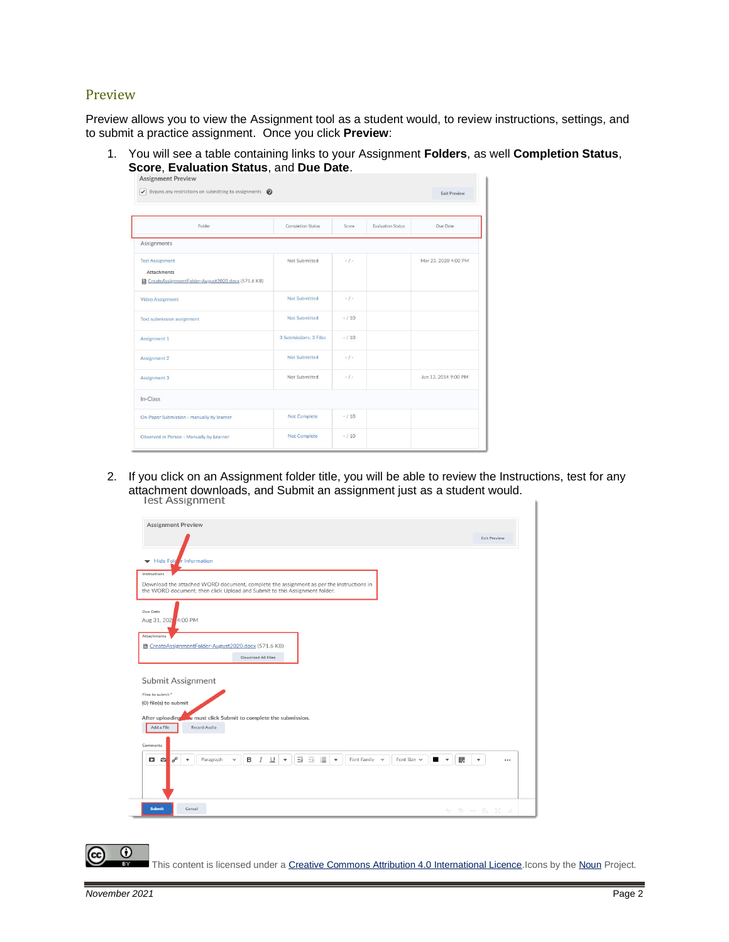#### Preview

Preview allows you to view the Assignment tool as a student would, to review instructions, settings, and to submit a practice assignment. Once you click **Preview**:

1. You will see a table containing links to your Assignment **Folders**, as well **Completion Status**, **Score**, **Evaluation Status**, and **Due Date**.

| Folder                                                                                     | <b>Completion Status</b> | Score  | <b>Evaluation Status</b> | Due Date             |
|--------------------------------------------------------------------------------------------|--------------------------|--------|--------------------------|----------------------|
| Assignments                                                                                |                          |        |                          |                      |
| <b>Test Assignment</b><br>Attachments<br>CreateAssignmentFolder-August2020.docx (571.6 KB) | Not Submitted            | $-1-$  |                          | Mar 23, 2020 4:00 PM |
| Video Assignment                                                                           | Not Submitted            | $-1-$  |                          |                      |
| <b>Text submission assignment</b>                                                          | Not Submitted            | $-/10$ |                          |                      |
| Assignment 1                                                                               | 3 Submissions, 3 Files   | $-/10$ |                          |                      |
| Assignment 2                                                                               | Not Submitted            | $-1-$  |                          |                      |
| Assignment 3                                                                               | Not Submitted            | $-1-$  |                          | Jun 13, 2014 9:00 PM |
| In-Class                                                                                   |                          |        |                          |                      |
| On-Paper Submission - manually by learner                                                  | <b>Not Complete</b>      | $-/10$ |                          |                      |
| Observed in Person - Manually by Learner                                                   | <b>Not Complete</b>      | $-/10$ |                          |                      |

2. If you click on an Assignment folder title, you will be able to review the Instructions, test for any attachment downloads, and Submit an assignment just as a student would.<br>Lest Assignment

| <b>Assignment Preview</b>                                                                                                                                                                    |                     |
|----------------------------------------------------------------------------------------------------------------------------------------------------------------------------------------------|---------------------|
|                                                                                                                                                                                              | <b>Exit Preview</b> |
| Hide Fold r Information                                                                                                                                                                      |                     |
| Instructions                                                                                                                                                                                 |                     |
| Download the attached WORD document, complete the assignment as per the instructions in<br>the WORD document, then click Upload and Submit to this Assignment folder.                        |                     |
| Due Date                                                                                                                                                                                     |                     |
| Aug 31, 202 4:00 PM                                                                                                                                                                          |                     |
| Attachments<br>■ CreateAssignmentFolder-August2020.docx (571.6 KB)                                                                                                                           |                     |
| Download All Files                                                                                                                                                                           |                     |
| Submit Assignment<br>Files to submit *<br>(0) file(s) to submit                                                                                                                              |                     |
| After uploading<br>In must click Submit to complete the submission.                                                                                                                          |                     |
| Add a File<br>Record Audio<br>Comments                                                                                                                                                       |                     |
| $\sigma$<br>표 표 보 *<br>в<br>$I \perp$<br>騦<br>O<br>Paragraph<br>$\;$ $\;$<br>Font Family $\sim$<br>Font Size $\sim$<br>$\blacksquare$<br>$\infty$<br>$\checkmark$<br>$\overline{\mathbf{v}}$ | ٠<br>               |
|                                                                                                                                                                                              |                     |
|                                                                                                                                                                                              |                     |

This content is licensed under [a Creative Commons Attribution 4.0 International Licence.I](https://creativecommons.org/licenses/by/4.0/)cons by th[e Noun](https://creativecommons.org/website-icons/) Project.

 $\odot$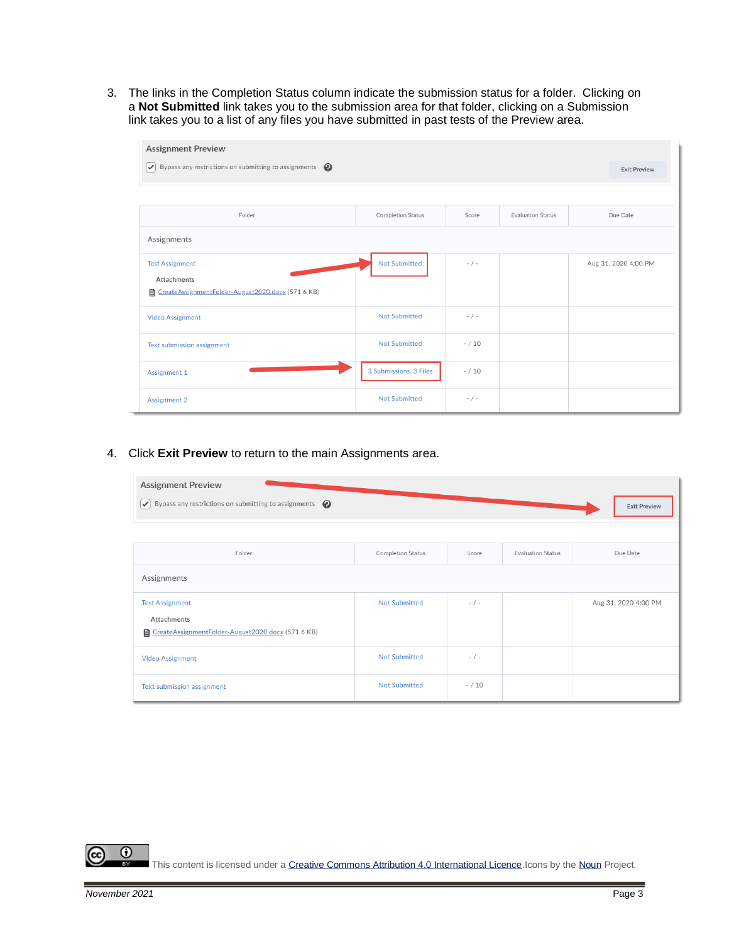3. The links in the Completion Status column indicate the submission status for a folder. Clicking on a **Not Submitted** link takes you to the submission area for that folder, clicking on a Submission link takes you to a list of any files you have submitted in past tests of the Preview area.

| <b>Assignment Preview</b><br>$\triangledown$ Bypass any restrictions on submitting to assignments $\odot$ |                          |           |                          | <b>Exit Preview</b>  |
|-----------------------------------------------------------------------------------------------------------|--------------------------|-----------|--------------------------|----------------------|
| Folder                                                                                                    | <b>Completion Status</b> | Score     | <b>Evaluation Status</b> | Due Date             |
| Assignments                                                                                               |                          |           |                          |                      |
| <b>Test Assignment</b><br>Attachments<br>CreateAssignmentFolder-August2020.docx (571.6 KB)                | Not Submitted            | $- / -$   |                          | Aug 31, 2020 4:00 PM |
| <b>Video Assignment</b>                                                                                   | <b>Not Submitted</b>     | $- / -$   |                          |                      |
| Text submission assignment                                                                                | <b>Not Submitted</b>     | $- / 10$  |                          |                      |
| Assignment 1                                                                                              | 3 Submissions, 3 Files   | $- / 10$  |                          |                      |
| Assignment 2                                                                                              | <b>Not Submitted</b>     | $-$ / $-$ |                          |                      |

4. Click **Exit Preview** to return to the main Assignments area.

| <b>Assignment Preview</b><br>$\triangledown$ Bypass any restrictions on submitting to assignments $\bigcirc$ |                      |          |                          | <b>Exit Preview</b>  |
|--------------------------------------------------------------------------------------------------------------|----------------------|----------|--------------------------|----------------------|
| Folder                                                                                                       | Completion Status    | Score    | <b>Evaluation Status</b> | Due Date             |
| Assignments                                                                                                  |                      |          |                          |                      |
| <b>Test Assignment</b><br>Attachments<br>CreateAssignmentFolder-August2020.docx (571.6 KB)                   | <b>Not Submitted</b> | $- / -$  |                          | Aug 31, 2020 4:00 PM |
| <b>Video Assignment</b>                                                                                      | <b>Not Submitted</b> | $- / -$  |                          |                      |
| Text submission assignment                                                                                   | <b>Not Submitted</b> | $- / 10$ |                          |                      |

 $\odot$ (cc

This content is licensed under [a Creative Commons Attribution 4.0 International Licence.I](https://creativecommons.org/licenses/by/4.0/)cons by th[e Noun](https://creativecommons.org/website-icons/) Project.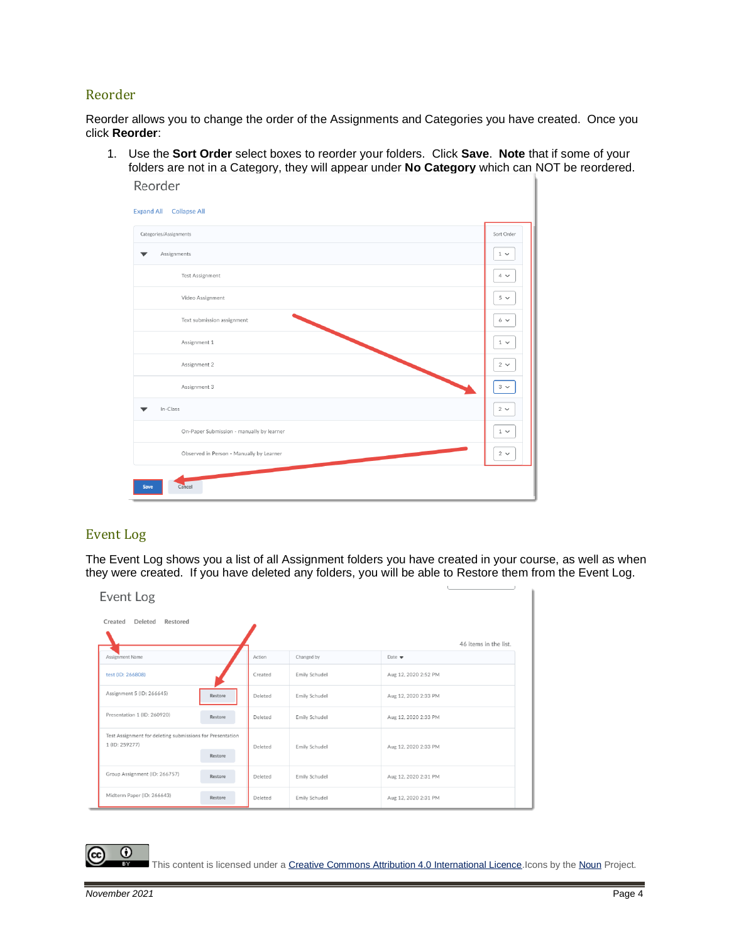## Reorder

Reorder allows you to change the order of the Assignments and Categories you have created. Once you click **Reorder**:

1. Use the **Sort Order** select boxes to reorder your folders. Click **Save**. **Note** that if some of your folders are not in a Category, they will appear under **No Category** which can NOT be reordered. Reorder



#### Event Log

The Event Log shows you a list of all Assignment folders you have created in your course, as well as when they were created. If you have deleted any folders, you will be able to Restore them from the Event Log.

| Event Log                                                                              |         |               |                           |
|----------------------------------------------------------------------------------------|---------|---------------|---------------------------|
| Deleted<br>Restored<br>Created                                                         |         |               |                           |
|                                                                                        |         |               | 46 items in the list.     |
| Assignment Name                                                                        | Action  | Changed by    | Date $\blacktriangledown$ |
| test (ID: 266808)                                                                      | Created | Emily Schudel | Aug 12, 2020 2:52 PM      |
| Assignment 5 (ID: 266645)<br>Restore                                                   | Deleted | Emily Schudel | Aug 12, 2020 2:33 PM      |
| Presentation 1 (ID: 260920)<br>Restore                                                 | Deleted | Emily Schudel | Aug 12, 2020 2:33 PM      |
| Test Assignment for deleting submissions for Presentation<br>1 (ID: 259277)<br>Restore | Deleted | Emily Schudel | Aug 12, 2020 2:33 PM      |
| Group Assignment (ID: 266757)<br>Restore                                               | Deleted | Emily Schudel | Aug 12, 2020 2:31 PM      |
| Midterm Paper (ID: 266643)<br>Restore                                                  | Deleted | Emily Schudel | Aug 12, 2020 2:31 PM      |

 $\odot$ 

This content is licensed under [a Creative Commons Attribution 4.0 International Licence.I](https://creativecommons.org/licenses/by/4.0/)cons by th[e Noun](https://creativecommons.org/website-icons/) Project.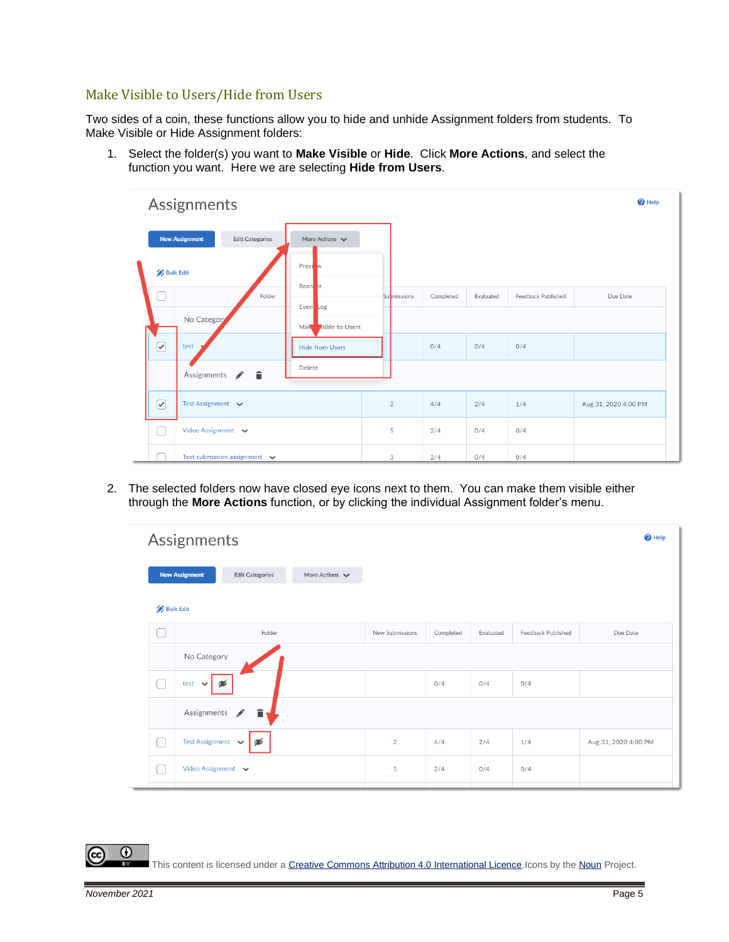### Make Visible to Users/Hide from Users

Two sides of a coin, these functions allow you to hide and unhide Assignment folders from students. To Make Visible or Hide Assignment folders:

1. Select the folder(s) you want to **Make Visible** or **Hide**. Click **More Actions**, and select the function you want. Here we are selecting **Hide from Users**.

|                                 | Assignments           |                                   |                                    |                    |           |           |                    | <sup>O</sup> Help    |  |
|---------------------------------|-----------------------|-----------------------------------|------------------------------------|--------------------|-----------|-----------|--------------------|----------------------|--|
|                                 | <b>New Assignment</b> | <b>Edit Categories</b>            | More Actions $\blacktriangleright$ |                    |           |           |                    |                      |  |
| <b>Bulk Edit</b>                |                       |                                   | Previ w                            |                    |           |           |                    |                      |  |
| Ξ                               |                       | Folder                            | Reord <sub>er</sub><br>Even Log    | <b>Submissions</b> | Completed | Evaluated | Feedback Published | Due Date             |  |
| No Category                     |                       | Mak Asible to Users               |                                    |                    |           |           |                    |                      |  |
| $\boxed{\mathcal{C}}$           | test                  |                                   | <b>Hide from Users</b>             |                    | 0/4       | 0/4       | 0/4                |                      |  |
| $\mathscr{E}$ in<br>Assignments |                       |                                   | Delete                             |                    |           |           |                    |                      |  |
| $\boxed{\checkmark}$            | Test Assignment v     |                                   |                                    | $\overline{2}$     | 4/4       | 2/4       | 1/4                | Aug 31, 2020 4:00 PM |  |
|                                 | Video Assignment v    |                                   |                                    | 5                  | 2/4       | 0/4       | 0/4                |                      |  |
|                                 |                       | Text submission assignment $\vee$ |                                    | 3                  | 2/4       | 0/4       | 0/4                |                      |  |

2. The selected folders now have closed eye icons next to them. You can make them visible either through the **More Actions** function, or by clicking the individual Assignment folder's menu.

|                  | Assignments<br><sup>O</sup> Help                                                      |                 |           |           |                    |                      |  |  |
|------------------|---------------------------------------------------------------------------------------|-----------------|-----------|-----------|--------------------|----------------------|--|--|
|                  | <b>New Assignment</b><br>More Actions $\blacktriangleright$<br><b>Edit Categories</b> |                 |           |           |                    |                      |  |  |
| <b>Bulk Edit</b> |                                                                                       |                 |           |           |                    |                      |  |  |
|                  | Folder                                                                                | New Submissions | Completed | Evaluated | Feedback Published | Due Date             |  |  |
|                  | No Category                                                                           |                 |           |           |                    |                      |  |  |
| in a             | ණ<br>test<br>$\checkmark$                                                             |                 | 0/4       | 0/4       | 0/4                |                      |  |  |
|                  | Assignments<br>î<br>Í                                                                 |                 |           |           |                    |                      |  |  |
|                  | <b>Test Assignment</b><br>⊛<br>$\checkmark$                                           | $\overline{2}$  | 4/4       | 2/4       | 1/4                | Aug 31, 2020 4:00 PM |  |  |
|                  | Video Assignment v                                                                    | 5               | 2/4       | 0/4       | 0/4                |                      |  |  |

This content is licensed under [a Creative Commons Attribution 4.0 International Licence.I](https://creativecommons.org/licenses/by/4.0/)cons by th[e Noun](https://creativecommons.org/website-icons/) Project.

 $\odot$